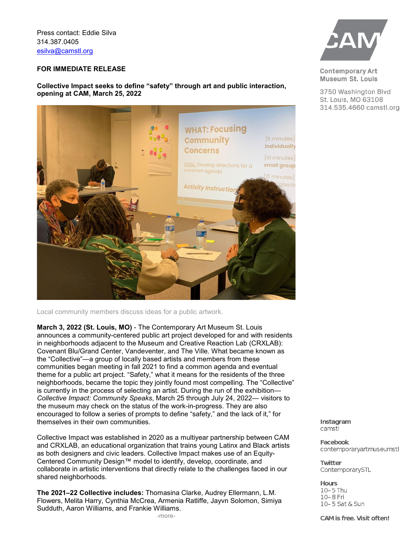Press contact: Eddie Silva 314.387.0405 [esilva@camstl.org](mailto:esilva@camstl.org)

## **FOR IMMEDIATE RELEASE**

**Collective Impact seeks to define "safety" through art and public interaction, opening at CAM, March 25, 2022**



Local community members discuss ideas for a public artwork.

**March 3, 2022 (St. Louis, MO)** - The Contemporary Art Museum St. Louis announces a community-centered public art project developed for and with residents in neighborhoods adjacent to the Museum and Creative Reaction Lab (CRXLAB): Covenant Blu/Grand Center, Vandeventer, and The Ville. What became known as the "Collective"—a group of locally based artists and members from these communities began meeting in fall 2021 to find a common agenda and eventual theme for a public art project. "Safety," what it means for the residents of the three neighborhoods, became the topic they jointly found most compelling. The "Collective" is currently in the process of selecting an artist. During the run of the exhibition— *Collective Impact: Community Speaks*, March 25 through July 24, 2022— visitors to the museum may check on the status of the work-in-progress. They are also encouraged to follow a series of prompts to define "safety," and the lack of it," for themselves in their own communities.

Collective Impact was established in 2020 as a multiyear partnership between CAM and CRXLAB, an educational organization that trains young Latinx and Black artists as both designers and civic leaders. Collective Impact makes use of an Equity-Centered Community Design™ model to identify, develop, coordinate, and collaborate in artistic interventions that directly relate to the challenges faced in our shared neighborhoods.

**The 2021–22 Collective includes:** Thomasina Clarke, Audrey Ellermann, L.M. Flowers, Melita Harry, Cynthia McCrea, Armenia Ratliffe, Jayvn Solomon, Simiya Sudduth, Aaron Williams, and Frankie Williams. -more-



**Contemporary Art** Museum St. Louis

3750 Washington Blvd St. Louis, MO 63108 314.535.4660 camstl.org

Instagram camstl

**Facebook** contemporaryartmuseumstl

**Twitter** ContemporarySTL

**Hours** 10-5 Thu 10-8 Fri 10-5 Sat & Sun

CAM is free. Visit often!